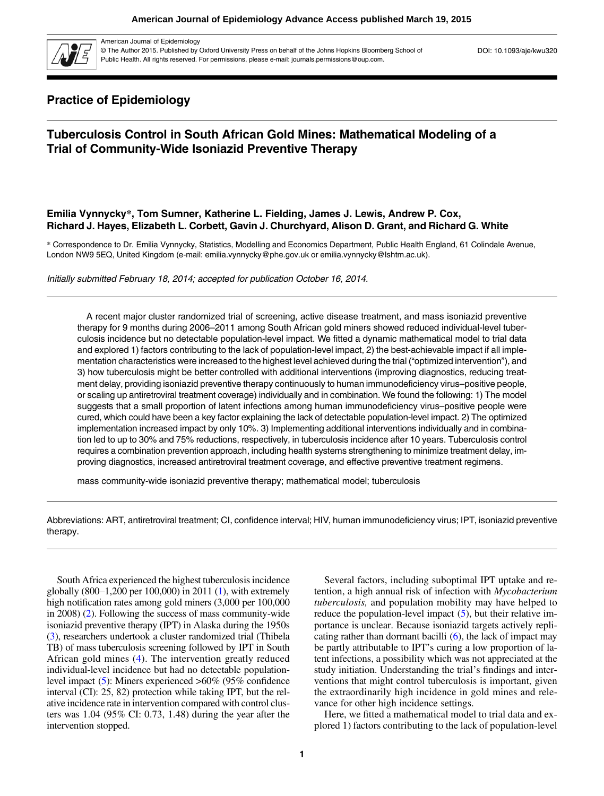

American Journal of Epidemiology

© The Author 2015. Published by Oxford University Press on behalf of the Johns Hopkins Bloomberg School of Public Health. All rights reserved. For permissions, please e-mail: journals.permissions@oup.com.

DOI: 10.1093/aje/kwu320

# Practice of Epidemiology

# Tuberculosis Control in South African Gold Mines: Mathematical Modeling of a Trial of Community-Wide Isoniazid Preventive Therapy

## Emilia Vynnycky\*, Tom Sumner, Katherine L. Fielding, James J. Lewis, Andrew P. Cox, Richard J. Hayes, Elizabeth L. Corbett, Gavin J. Churchyard, Alison D. Grant, and Richard G. White

\* Correspondence to Dr. Emilia Vynnycky, Statistics, Modelling and Economics Department, Public Health England, 61 Colindale Avenue, London NW9 5EQ, United Kingdom (e-mail: emilia.vynnycky@phe.gov.uk or emilia.vynnycky@lshtm.ac.uk).

Initially submitted February 18, 2014; accepted for publication October 16, 2014.

A recent major cluster randomized trial of screening, active disease treatment, and mass isoniazid preventive therapy for 9 months during 2006–2011 among South African gold miners showed reduced individual-level tuberculosis incidence but no detectable population-level impact. We fitted a dynamic mathematical model to trial data and explored 1) factors contributing to the lack of population-level impact, 2) the best-achievable impact if all implementation characteristics were increased to the highest level achieved during the trial ("optimized intervention"), and 3) how tuberculosis might be better controlled with additional interventions (improving diagnostics, reducing treatment delay, providing isoniazid preventive therapy continuously to human immunodeficiency virus–positive people, or scaling up antiretroviral treatment coverage) individually and in combination. We found the following: 1) The model suggests that a small proportion of latent infections among human immunodeficiency virus–positive people were cured, which could have been a key factor explaining the lack of detectable population-level impact. 2) The optimized implementation increased impact by only 10%. 3) Implementing additional interventions individually and in combination led to up to 30% and 75% reductions, respectively, in tuberculosis incidence after 10 years. Tuberculosis control requires a combination prevention approach, including health systems strengthening to minimize treatment delay, improving diagnostics, increased antiretroviral treatment coverage, and effective preventive treatment regimens.

mass community-wide isoniazid preventive therapy; mathematical model; tuberculosis

Abbreviations: ART, antiretroviral treatment; CI, confidence interval; HIV, human immunodeficiency virus; IPT, isoniazid preventive therapy.

South Africa experienced the highest tuberculosis incidence globally (800–1,200 per 100,000) in 2011 [\(1](#page-11-0)), with extremely high notification rates among gold miners  $(3,000$  per 100,000 in 2008) ([2\)](#page-11-0). Following the success of mass community-wide isoniazid preventive therapy (IPT) in Alaska during the 1950s [\(3](#page-11-0)), researchers undertook a cluster randomized trial (Thibela TB) of mass tuberculosis screening followed by IPT in South African gold mines ([4](#page-11-0)). The intervention greatly reduced individual-level incidence but had no detectable populationlevel impact ([5\)](#page-11-0): Miners experienced >60% (95% confidence interval (CI): 25, 82) protection while taking IPT, but the relative incidence rate in intervention compared with control clusters was 1.04 (95% CI: 0.73, 1.48) during the year after the intervention stopped.

Several factors, including suboptimal IPT uptake and retention, a high annual risk of infection with Mycobacterium tuberculosis, and population mobility may have helped to reduce the population-level impact  $(5)$  $(5)$ , but their relative importance is unclear. Because isoniazid targets actively replicating rather than dormant bacilli ([6\)](#page-11-0), the lack of impact may be partly attributable to IPT's curing a low proportion of latent infections, a possibility which was not appreciated at the study initiation. Understanding the trial's findings and interventions that might control tuberculosis is important, given the extraordinarily high incidence in gold mines and relevance for other high incidence settings.

Here, we fitted a mathematical model to trial data and explored 1) factors contributing to the lack of population-level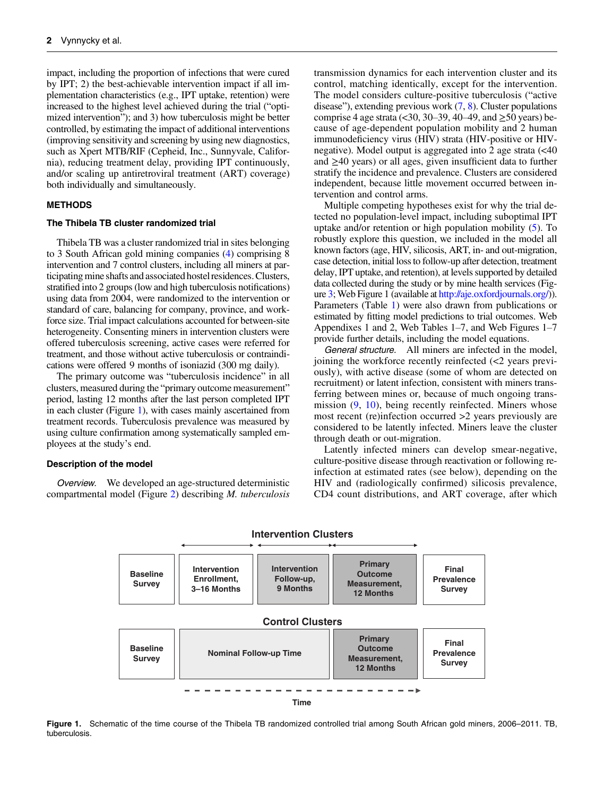<span id="page-1-0"></span>impact, including the proportion of infections that were cured by IPT; 2) the best-achievable intervention impact if all implementation characteristics (e.g., IPT uptake, retention) were increased to the highest level achieved during the trial ("optimized intervention"); and 3) how tuberculosis might be better controlled, by estimating the impact of additional interventions (improving sensitivity and screening by using new diagnostics, such as Xpert MTB/RIF (Cepheid, Inc., Sunnyvale, California), reducing treatment delay, providing IPT continuously, and/or scaling up antiretroviral treatment (ART) coverage) both individually and simultaneously.

## **METHODS**

## The Thibela TB cluster randomized trial

Thibela TB was a cluster randomized trial in sites belonging to 3 South African gold mining companies ([4\)](#page-11-0) comprising 8 intervention and 7 control clusters, including all miners at participating mine shafts and associated hostel residences.Clusters, stratified into 2 groups (low and high tuberculosis notifications) using data from 2004, were randomized to the intervention or standard of care, balancing for company, province, and workforce size. Trial impact calculations accounted for between-site heterogeneity. Consenting miners in intervention clusters were offered tuberculosis screening, active cases were referred for treatment, and those without active tuberculosis or contraindications were offered 9 months of isoniazid (300 mg daily).

The primary outcome was "tuberculosis incidence" in all clusters, measured during the "primary outcome measurement" period, lasting 12 months after the last person completed IPT in each cluster (Figure 1), with cases mainly ascertained from treatment records. Tuberculosis prevalence was measured by using culture confirmation among systematically sampled employees at the study's end.

## Description of the model

Overview. We developed an age-structured deterministic compartmental model (Figure [2\)](#page-2-0) describing M. tuberculosis transmission dynamics for each intervention cluster and its control, matching identically, except for the intervention. The model considers culture-positive tuberculosis ("active disease"), extending previous work  $(7, 8)$  $(7, 8)$  $(7, 8)$ . Cluster populations comprise 4 age strata (<30, 30–39, 40–49, and  $\geq$ 50 years) because of age-dependent population mobility and 2 human immunodeficiency virus (HIV) strata (HIV-positive or HIVnegative). Model output is aggregated into 2 age strata (<40 and  $\geq$ 40 years) or all ages, given insufficient data to further stratify the incidence and prevalence. Clusters are considered independent, because little movement occurred between intervention and control arms.

Multiple competing hypotheses exist for why the trial detected no population-level impact, including suboptimal IPT uptake and/or retention or high population mobility [\(5](#page-11-0)). To robustly explore this question, we included in the model all known factors (age, HIV, silicosis, ART, in- and out-migration, case detection, initial loss to follow-up after detection, treatment delay, IPT uptake, and retention), at levels supported by detailed data collected during the study or by mine health services (Figure [3](#page-3-0); [Web Figure 1](http://aje.oxfordjournals.org/lookup/suppl/doi:10.1093/aje/kwu320/-/DC1) (available at <http://aje.oxfordjournals.org/>)). Parameters (Table [1\)](#page-4-0) were also drawn from publications or estimated by fitting model predictions to trial outcomes. [Web](http://aje.oxfordjournals.org/lookup/suppl/doi:10.1093/aje/kwu320/-/DC1) [Appendixes 1 and 2, Web Tables 1](http://aje.oxfordjournals.org/lookup/suppl/doi:10.1093/aje/kwu320/-/DC1)–7, and Web Figures 1–7 provide further details, including the model equations.

General structure. All miners are infected in the model, joining the workforce recently reinfected (<2 years previously), with active disease (some of whom are detected on recruitment) or latent infection, consistent with miners transferring between mines or, because of much ongoing transmission  $(9, 10)$  $(9, 10)$  $(9, 10)$  $(9, 10)$ , being recently reinfected. Miners whose most recent (re)infection occurred >2 years previously are considered to be latently infected. Miners leave the cluster through death or out-migration.

Latently infected miners can develop smear-negative, culture-positive disease through reactivation or following reinfection at estimated rates (see below), depending on the HIV and (radiologically confirmed) silicosis prevalence, CD4 count distributions, and ART coverage, after which



Figure 1. Schematic of the time course of the Thibela TB randomized controlled trial among South African gold miners, 2006-2011. TB, tuberculosis.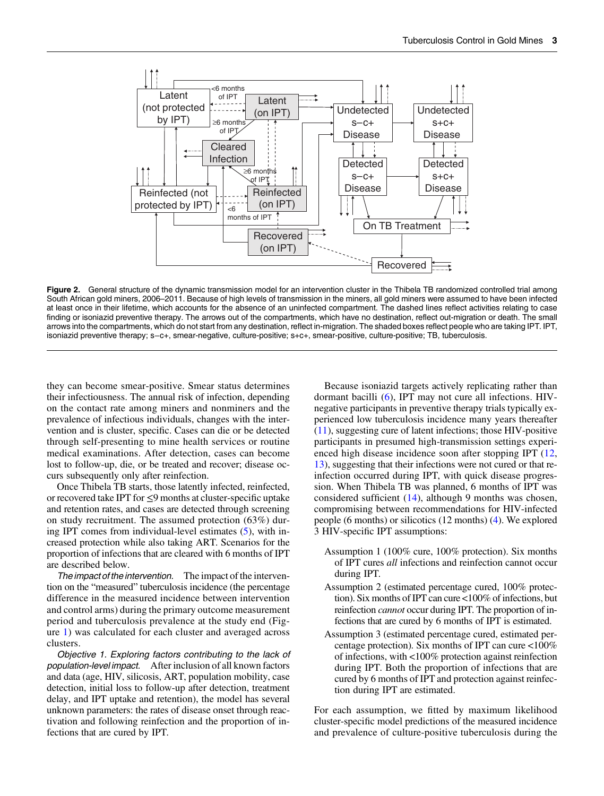<span id="page-2-0"></span>

Figure 2. General structure of the dynamic transmission model for an intervention cluster in the Thibela TB randomized controlled trial among South African gold miners, 2006–2011. Because of high levels of transmission in the miners, all gold miners were assumed to have been infected at least once in their lifetime, which accounts for the absence of an uninfected compartment. The dashed lines reflect activities relating to case finding or isoniazid preventive therapy. The arrows out of the compartments, which have no destination, reflect out-migration or death. The small arrows into the compartments, which do not start from any destination, reflect in-migration. The shaded boxes reflect people who are taking IPT. IPT, isoniazid preventive therapy; s−c+, smear-negative, culture-positive; s+c+, smear-positive, culture-positive; TB, tuberculosis.

they can become smear-positive. Smear status determines their infectiousness. The annual risk of infection, depending on the contact rate among miners and nonminers and the prevalence of infectious individuals, changes with the intervention and is cluster, specific. Cases can die or be detected through self-presenting to mine health services or routine medical examinations. After detection, cases can become lost to follow-up, die, or be treated and recover; disease occurs subsequently only after reinfection.

Once Thibela TB starts, those latently infected, reinfected, or recovered take IPT for  $\leq$ 9 months at cluster-specific uptake and retention rates, and cases are detected through screening on study recruitment. The assumed protection (63%) during IPT comes from individual-level estimates [\(5](#page-11-0)), with increased protection while also taking ART. Scenarios for the proportion of infections that are cleared with 6 months of IPT are described below.

The impact of the intervention. The impact of the intervention on the "measured" tuberculosis incidence (the percentage difference in the measured incidence between intervention and control arms) during the primary outcome measurement period and tuberculosis prevalence at the study end (Figure [1](#page-1-0)) was calculated for each cluster and averaged across clusters.

Objective 1. Exploring factors contributing to the lack of population-level impact. After inclusion of all known factors and data (age, HIV, silicosis, ART, population mobility, case detection, initial loss to follow-up after detection, treatment delay, and IPT uptake and retention), the model has several unknown parameters: the rates of disease onset through reactivation and following reinfection and the proportion of infections that are cured by IPT.

Because isoniazid targets actively replicating rather than dormant bacilli [\(6](#page-11-0)), IPT may not cure all infections. HIVnegative participants in preventive therapy trials typically experienced low tuberculosis incidence many years thereafter [\(11](#page-12-0)), suggesting cure of latent infections; those HIV-positive participants in presumed high-transmission settings experienced high disease incidence soon after stopping IPT [\(12](#page-12-0), [13](#page-12-0)), suggesting that their infections were not cured or that reinfection occurred during IPT, with quick disease progression. When Thibela TB was planned, 6 months of IPT was considered sufficient  $(14)$  $(14)$ , although 9 months was chosen, compromising between recommendations for HIV-infected people (6 months) or silicotics (12 months) ([4\)](#page-11-0). We explored 3 HIV-specific IPT assumptions:

- Assumption 1 (100% cure, 100% protection). Six months of IPT cures all infections and reinfection cannot occur during IPT.
- Assumption 2 (estimated percentage cured, 100% protection). Six months of IPT can cure <100% of infections, but reinfection cannot occur during IPT. The proportion of infections that are cured by 6 months of IPT is estimated.
- Assumption 3 (estimated percentage cured, estimated percentage protection). Six months of IPT can cure <100% of infections, with <100% protection against reinfection during IPT. Both the proportion of infections that are cured by 6 months of IPT and protection against reinfection during IPT are estimated.

For each assumption, we fitted by maximum likelihood cluster-specific model predictions of the measured incidence and prevalence of culture-positive tuberculosis during the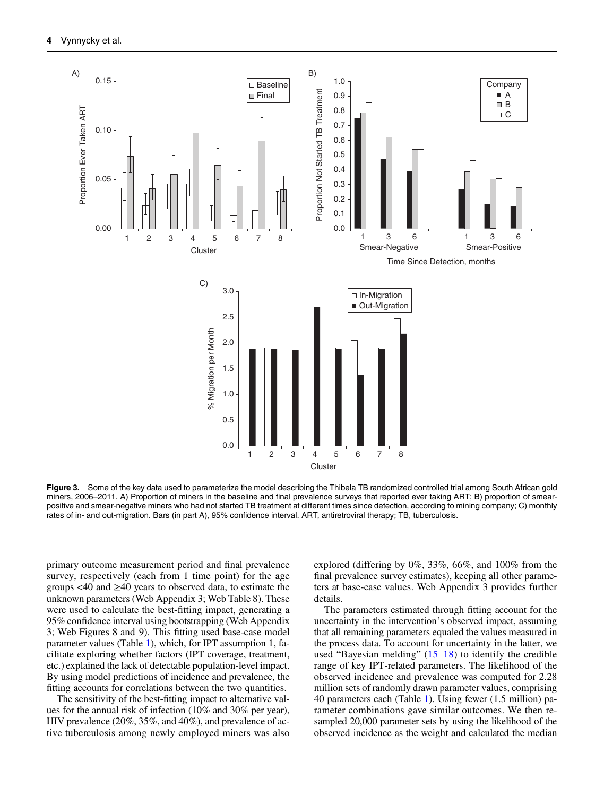<span id="page-3-0"></span>

Figure 3. Some of the key data used to parameterize the model describing the Thibela TB randomized controlled trial among South African gold miners, 2006–2011. A) Proportion of miners in the baseline and final prevalence surveys that reported ever taking ART; B) proportion of smearpositive and smear-negative miners who had not started TB treatment at different times since detection, according to mining company; C) monthly rates of in- and out-migration. Bars (in part A), 95% confidence interval. ART, antiretroviral therapy; TB, tuberculosis.

primary outcome measurement period and final prevalence survey, respectively (each from 1 time point) for the age groups  $\leq 40$  and  $\geq 40$  years to observed data, to estimate the unknown parameters ([Web Appendix 3; Web Table 8\)](http://aje.oxfordjournals.org/lookup/suppl/doi:10.1093/aje/kwu320/-/DC1). These were used to calculate the best-fitting impact, generating a 95% confidence interval using bootstrapping [\(Web Appendix](http://aje.oxfordjournals.org/lookup/suppl/doi:10.1093/aje/kwu320/-/DC1) [3; Web Figures 8 and 9\)](http://aje.oxfordjournals.org/lookup/suppl/doi:10.1093/aje/kwu320/-/DC1). This fitting used base-case model parameter values (Table [1](#page-4-0)), which, for IPT assumption 1, facilitate exploring whether factors (IPT coverage, treatment, etc.) explained the lack of detectable population-level impact. By using model predictions of incidence and prevalence, the fitting accounts for correlations between the two quantities.

The sensitivity of the best-fitting impact to alternative values for the annual risk of infection (10% and 30% per year), HIV prevalence (20%, 35%, and 40%), and prevalence of active tuberculosis among newly employed miners was also explored (differing by  $0\%$ ,  $33\%$ ,  $66\%$ , and  $100\%$  from the final prevalence survey estimates), keeping all other parameters at base-case values. [Web Appendix 3](http://aje.oxfordjournals.org/lookup/suppl/doi:10.1093/aje/kwu320/-/DC1) provides further details.

The parameters estimated through fitting account for the uncertainty in the intervention's observed impact, assuming that all remaining parameters equaled the values measured in the process data. To account for uncertainty in the latter, we used "Bayesian melding"  $(15-18)$  $(15-18)$  $(15-18)$  $(15-18)$  $(15-18)$  to identify the credible range of key IPT-related parameters. The likelihood of the observed incidence and prevalence was computed for 2.28 million sets of randomly drawn parameter values, comprising 40 parameters each (Table [1\)](#page-4-0). Using fewer (1.5 million) parameter combinations gave similar outcomes. We then resampled 20,000 parameter sets by using the likelihood of the observed incidence as the weight and calculated the median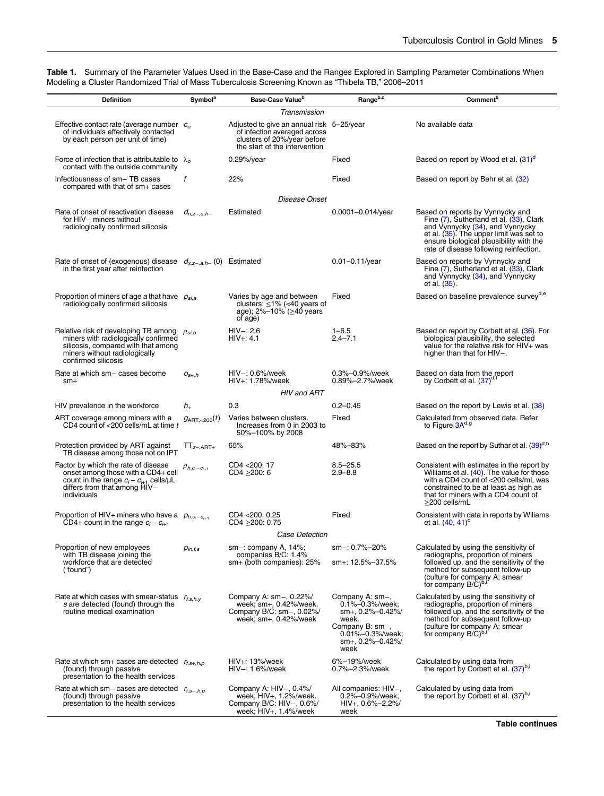Table 1. Summary of the Parameter Values Used in the Base-Case and the Ranges Explored in Sampling Parameter Combinations When Modeling a Cluster Randomized Trial of Mass Tuberculosis Screening Known as "Thibela TB," 2006–2011 Definition Symbol<sup>a</sup> Base-Case Value<sup>b</sup> Range<sup>b,c</sup> Comment<sup>b</sup> Transmission Effective contact rate (average number of individuals effectively contacted  $c_e$  Adjusted to give an annual risk of infection averaged across 5-25/year No available data

<span id="page-4-0"></span>

| Transmission                                                                                                                                                                              |                          |                                                                                                                                           |                                                                                                                                    |                                                                                                                                                                                                                                               |  |
|-------------------------------------------------------------------------------------------------------------------------------------------------------------------------------------------|--------------------------|-------------------------------------------------------------------------------------------------------------------------------------------|------------------------------------------------------------------------------------------------------------------------------------|-----------------------------------------------------------------------------------------------------------------------------------------------------------------------------------------------------------------------------------------------|--|
| Effective contact rate (average number $c_e$<br>of individuals effectively contacted<br>by each person per unit of time)                                                                  |                          | Adjusted to give an annual risk 5-25/year<br>of infection averaged across<br>clusters of 20%/year before<br>the start of the intervention |                                                                                                                                    | No available data                                                                                                                                                                                                                             |  |
| Force of infection that is attributable to $\lambda_o$<br>contact with the outside community                                                                                              |                          | $0.29\%$ /year                                                                                                                            | Fixed                                                                                                                              | Based on report by Wood et al. (31) <sup>d</sup>                                                                                                                                                                                              |  |
| Infectiousness of sm-TB cases<br>compared with that of sm+ cases                                                                                                                          | f                        | 22%                                                                                                                                       | Fixed                                                                                                                              | Based on report by Behr et al. (32)                                                                                                                                                                                                           |  |
|                                                                                                                                                                                           |                          | Disease Onset                                                                                                                             |                                                                                                                                    |                                                                                                                                                                                                                                               |  |
| Rate of onset of reactivation disease<br>for HIV- miners without<br>radiologically confirmed silicosis                                                                                    | $a_{n,z-,a,h-}$          | Estimated                                                                                                                                 | $0.0001 - 0.014$ /year                                                                                                             | Based on reports by Vynnycky and<br>Fine (7), Sutherland et al. (33), Clark<br>and Vynnycky (34), and Vynnycky<br>et al. (35) The upper limit was set to<br>ensure biological plausibility with the<br>rate of disease following reinfection. |  |
| Rate of onset of (exogenous) disease $d_{x,z-,a,h-}$ (0) Estimated<br>in the first year after reinfection                                                                                 |                          |                                                                                                                                           | $0.01 - 0.11$ /year                                                                                                                | Based on reports by Vynnycky and<br>Fine (7), Sutherland et al. (33), Clark<br>and Vynnycky (34), and Vynnycky<br>et al. (35).                                                                                                                |  |
| Proportion of miners of age a that have $p_{si,a}$<br>radiologically confirmed silicosis                                                                                                  |                          | Varies by age and between<br>clusters: $\leq$ 1% (<40 years of<br>age); $2\% - 10\%$ ( $\geq 40$ years<br>of age)                         | Fixed                                                                                                                              | Based on baseline prevalence survey <sup>d,e</sup>                                                                                                                                                                                            |  |
| Relative risk of developing TB among $\rho_{si,h}$<br>miners with radiologically confirmed<br>silicosis, compared with that among<br>miners without radiologically<br>confirmed silicosis |                          | $HIV - 2.6$<br>$HIV + 4.1$                                                                                                                | $1 - 6.5$<br>$2.4 - 7.1$                                                                                                           | Based on report by Corbett et al. (36). For<br>biological plausibility, the selected<br>value for the relative risk for HIV+ was<br>higher than that for HIV-.                                                                                |  |
| Rate at which sm- cases become<br>$sm+$                                                                                                                                                   | $O_{S+,h}$               | $HIV-: 0.6\%$ /week<br>HIV+: 1.78%/week                                                                                                   | 0.3%-0.9%/week<br>0.89%-2.7%/week                                                                                                  | Based on data from the report<br>by Corbett et al. $(37)^{0.1}$                                                                                                                                                                               |  |
|                                                                                                                                                                                           |                          | HIV and ART                                                                                                                               |                                                                                                                                    |                                                                                                                                                                                                                                               |  |
| HIV prevalence in the workforce                                                                                                                                                           | $h_{+}$                  | 0.3<br>Varies between clusters.                                                                                                           | $0.2 - 0.45$<br>Fixed                                                                                                              | Based on the report by Lewis et al. (38)<br>Calculated from observed data. Refer                                                                                                                                                              |  |
| ART coverage among miners with a<br>CD4 count of <200 cells/mL at time t                                                                                                                  | $g_{\text{ART},<200}(t)$ | Increases from 0 in 2003 to<br>50%-100% by 2008                                                                                           |                                                                                                                                    | to Figure 3A <sup>a,g</sup>                                                                                                                                                                                                                   |  |
| Protection provided by ART against<br>TB disease among those not on IPT                                                                                                                   | $TT_{z-,ART+}$           | 65%                                                                                                                                       | 48%-83%                                                                                                                            | Based on the report by Suthar et al. (39) <sup>d,h</sup>                                                                                                                                                                                      |  |
| Factor by which the rate of disease<br>onset among those with a CD4+ cell<br>count in the range $c_i - c_{i+1}$ cells/ $\mu$ L<br>differs from that among HIV-<br>individuals             | $\rho_{h,c_i-c_{i+1}}$   | CD4 < 200: 17<br>CD4 > 200: 6                                                                                                             | $8.5 - 25.5$<br>$2.9 - 8.8$                                                                                                        | Consistent with estimates in the report by<br>Williams et al. (40). The value for those<br>with a CD4 count of <200 cells/mL was<br>constrained to be at least as high as<br>that for miners with a CD4 count of<br>$\geq$ 200 cells/mL       |  |
| Proportion of HIV+ miners who have a $p_{h,c_i-c_{i+1}}$<br>CD4+ count in the range $c_i - c_{i+1}$                                                                                       |                          | CD4 <200: 0.25<br>CD4 ≥200: 0.75                                                                                                          | Fixed                                                                                                                              | Consistent with data in reports by Williams<br>et al. $(40, 41)^\circ$                                                                                                                                                                        |  |
|                                                                                                                                                                                           |                          | <b>Case Detection</b>                                                                                                                     |                                                                                                                                    |                                                                                                                                                                                                                                               |  |
| Proportion of new employees                                                                                                                                                               | $p_{in,f,s}$             | sm-: company A, 14%;                                                                                                                      | sm-: 0.7%-20%                                                                                                                      | Calculated by using the sensitivity of                                                                                                                                                                                                        |  |
| with TB disease joining the<br>workforce that are detected<br>("found")                                                                                                                   |                          | companies B/C: 1.4%<br>sm+ (both companies): 25%                                                                                          | sm+: 12.5%-37.5%                                                                                                                   | radiographs, proportion of miners<br>followed up, and the sensitivity of the<br>method for subsequent follow-up<br>(culture for company A; smear<br>for company B/C) <sup>b,i</sup>                                                           |  |
| Rate at which cases with smear-status $r_{f,s,h,v}$<br>s are detected (found) through the<br>routine medical examination                                                                  |                          | Company A: sm-, 0.22%/<br>week; sm+, 0.42%/week.<br>Company B/C: sm-, 0.02%/<br>week; sm+, 0.42%/week                                     | Company A: sm-,<br>0.1%-0.3%/week;<br>sm+, 0.2%-0.42%/<br>week.<br>Company B: sm-,<br>0.01%-0.3%/week;<br>sm+, 0.2%-0.42%/<br>week | Calculated by using the sensitivity of<br>radiographs, proportion of miners<br>followed up, and the sensitivity of the<br>method for subsequent follow-up<br>(culture for company A; smear<br>for company $B/C$ ) <sup>b,i</sup>              |  |
| Rate at which sm+ cases are detected $r_{f,s+,h,p}$<br>(found) through passive<br>presentation to the health services                                                                     |                          | $HIV+: 13\%$ /week<br>$HIV-1.6\%$ /week                                                                                                   | 6%-19%/week<br>0.7%-2.3%/week                                                                                                      | Calculated by using data from<br>the report by Corbett et al. (37)b,i                                                                                                                                                                         |  |
| Rate at which sm- cases are detected $r_{f,s-,h,p}$<br>(found) through passive<br>presentation to the health services                                                                     |                          | Company A: HIV-, 0.4%/<br>week, HIV+, 1.2%/week.<br>Company B/C: HIV-, 0.6%/<br>week; HIV+, 1.4%/week                                     | All companies: HIV-,<br>0.2%-0.9%/week;<br>HIV+, 0.6%-2.2%/<br>week                                                                | Calculated by using data from<br>the report by Corbett et al. (37)b,i                                                                                                                                                                         |  |
| <b>Table continues</b>                                                                                                                                                                    |                          |                                                                                                                                           |                                                                                                                                    |                                                                                                                                                                                                                                               |  |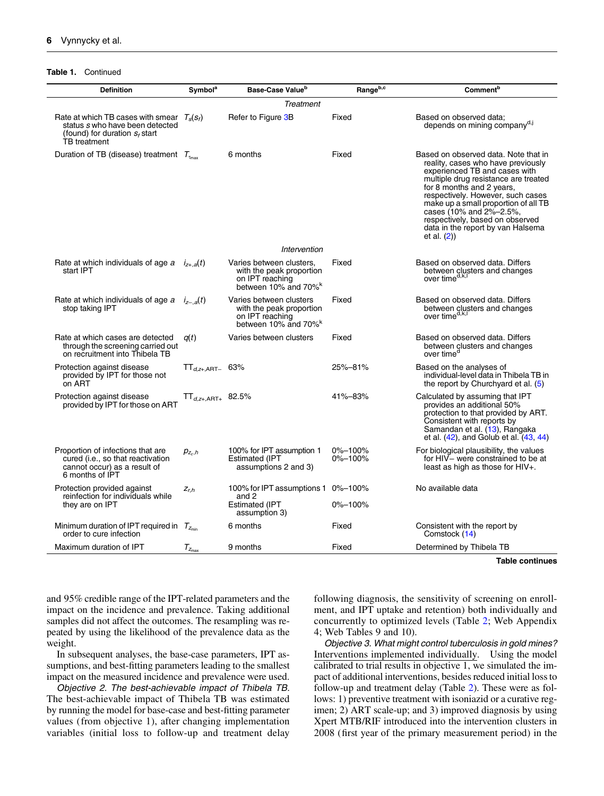## Table 1. Continued

| <b>Definition</b>                                                                                                                   | <b>Symbol<sup>a</sup></b> | Base-Case Value <sup>b</sup>                                                                                | Rangeb,c           | Comment <sup>b</sup>                                                                                                                                                                                                                                                                                                                                                               |
|-------------------------------------------------------------------------------------------------------------------------------------|---------------------------|-------------------------------------------------------------------------------------------------------------|--------------------|------------------------------------------------------------------------------------------------------------------------------------------------------------------------------------------------------------------------------------------------------------------------------------------------------------------------------------------------------------------------------------|
|                                                                                                                                     |                           | Treatment                                                                                                   |                    |                                                                                                                                                                                                                                                                                                                                                                                    |
| Rate at which TB cases with smear $T_s(s_t)$<br>status s who have been detected<br>(found) for duration $s_t$ start<br>TB treatment |                           | Refer to Figure 3B                                                                                          | Fixed              | Based on observed data;<br>depends on mining company <sup>d,j</sup>                                                                                                                                                                                                                                                                                                                |
| Duration of TB (disease) treatment $T_{\tau_{\text{max}}}$                                                                          |                           | 6 months                                                                                                    | Fixed              | Based on observed data. Note that in<br>reality, cases who have previously<br>experienced TB and cases with<br>multiple drug resistance are treated<br>for 8 months and 2 years,<br>respectively. However, such cases<br>make up a small proportion of all TB<br>cases (10% and 2%-2.5%,<br>respectively, based on observed<br>data in the report by van Halsema<br>et al. $(2)$ ) |
|                                                                                                                                     |                           | Intervention                                                                                                |                    |                                                                                                                                                                                                                                                                                                                                                                                    |
| Rate at which individuals of age a $i_{z+a}(t)$<br>start IPT                                                                        |                           | Varies between clusters.<br>with the peak proportion<br>on IPT reaching<br>between 10% and 70% <sup>k</sup> | Fixed              | Based on observed data. Differs<br>between clusters and changes<br>over time <sup>d,k,l</sup>                                                                                                                                                                                                                                                                                      |
| Rate at which individuals of age $a$ $i_{z=0}(t)$<br>stop taking IPT                                                                |                           | Varies between clusters<br>with the peak proportion<br>on IPT reaching<br>between 10% and 70% <sup>k</sup>  | Fixed              | Based on observed data. Differs<br>between clusters and changes<br>over time <sup>d,k,l</sup>                                                                                                                                                                                                                                                                                      |
| Rate at which cases are detected<br>through the screening carried out<br>on recruitment into Thibela TB                             | q(t)                      | Varies between clusters                                                                                     | Fixed              | Based on observed data. Differs<br>between clusters and changes<br>over time <sup>d</sup>                                                                                                                                                                                                                                                                                          |
| Protection against disease<br>provided by IPT for those not<br>on ART                                                               | $TT_{d, z+ART-}$ 63%      |                                                                                                             | 25%-81%            | Based on the analyses of<br>individual-level data in Thibela TB in<br>the report by Churchyard et al. (5)                                                                                                                                                                                                                                                                          |
| Protection against disease<br>provided by IPT for those on ART                                                                      | $TT_{d, z+, ART+}$ 82.5%  |                                                                                                             | 41%-83%            | Calculated by assuming that IPT<br>provides an additional 50%<br>protection to that provided by ART.<br>Consistent with reports by<br>Samandan et al. (13), Rangaka<br>et al. (42), and Golub et al. (43, 44)                                                                                                                                                                      |
| Proportion of infections that are<br>cured ( <i>i.e.</i> , so that reactivation<br>cannot occur) as a result of<br>6 months of IPT  | $p_{z_c,h}$               | 100% for IPT assumption 1<br>Estimated (IPT<br>assumptions 2 and 3)                                         | 0%-100%<br>0%-100% | For biological plausibility, the values<br>for HIV- were constrained to be at<br>least as high as those for HIV+.                                                                                                                                                                                                                                                                  |
| Protection provided against<br>reinfection for individuals while<br>they are on IPT                                                 | $Z_{r,h}$                 | 100% for IPT assumptions 1 0%-100%<br>and 2<br><b>Estimated (IPT</b>                                        | 0%-100%            | No available data                                                                                                                                                                                                                                                                                                                                                                  |
|                                                                                                                                     |                           | assumption 3)                                                                                               |                    |                                                                                                                                                                                                                                                                                                                                                                                    |
| Minimum duration of IPT required in $T_{z_{min}}$<br>order to cure infection                                                        |                           | 6 months                                                                                                    | Fixed              | Consistent with the report by<br>Comstock (14)                                                                                                                                                                                                                                                                                                                                     |
| Maximum duration of IPT                                                                                                             | $T_{Z_{\text{max}}}$      | 9 months                                                                                                    | Fixed              | Determined by Thibela TB                                                                                                                                                                                                                                                                                                                                                           |

Table continues

and 95% credible range of the IPT-related parameters and the impact on the incidence and prevalence. Taking additional samples did not affect the outcomes. The resampling was repeated by using the likelihood of the prevalence data as the weight.

In subsequent analyses, the base-case parameters, IPT assumptions, and best-fitting parameters leading to the smallest impact on the measured incidence and prevalence were used.

Objective 2. The best-achievable impact of Thibela TB. The best-achievable impact of Thibela TB was estimated by running the model for base-case and best-fitting parameter values ( from objective 1), after changing implementation variables (initial loss to follow-up and treatment delay

following diagnosis, the sensitivity of screening on enrollment, and IPT uptake and retention) both individually and concurrently to optimized levels (Table [2;](#page-7-0) [Web Appendix](http://aje.oxfordjournals.org/lookup/suppl/doi:10.1093/aje/kwu320/-/DC1) [4; Web Tables 9 and 10\)](http://aje.oxfordjournals.org/lookup/suppl/doi:10.1093/aje/kwu320/-/DC1).

Objective 3. What might control tuberculosis in gold mines? Interventions implemented individually. Using the model calibrated to trial results in objective 1, we simulated the impact of additional interventions, besides reduced initial loss to follow-up and treatment delay (Table [2\)](#page-7-0). These were as follows: 1) preventive treatment with isoniazid or a curative regimen; 2) ART scale-up; and 3) improved diagnosis by using Xpert MTB/RIF introduced into the intervention clusters in 2008 (first year of the primary measurement period) in the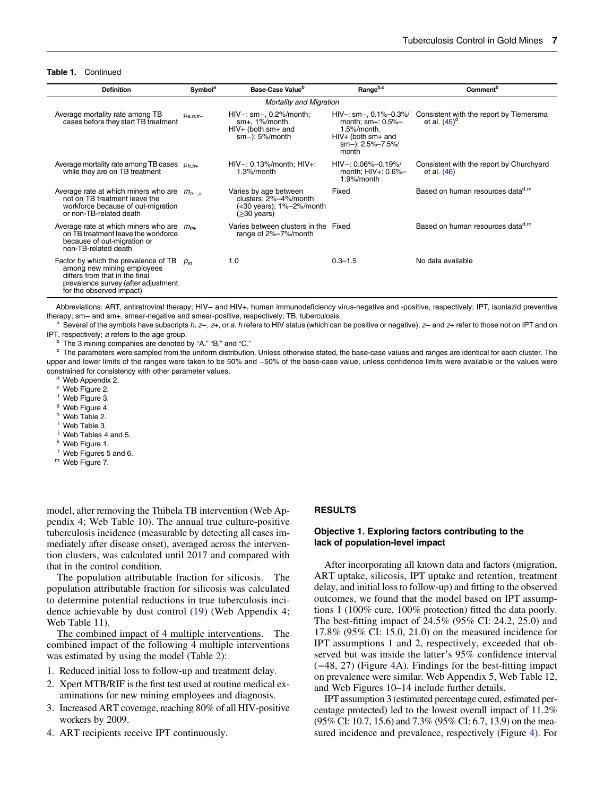#### Table 1. Continued

| <b>Definition</b>                                                                                                                                                       | <b>Symbol<sup>a</sup></b> | Base-Case Value <sup>b</sup>                                                                        | Range <sup>b,c</sup>                                                                                                   | Comment <sup>b</sup>                                       |  |
|-------------------------------------------------------------------------------------------------------------------------------------------------------------------------|---------------------------|-----------------------------------------------------------------------------------------------------|------------------------------------------------------------------------------------------------------------------------|------------------------------------------------------------|--|
| <b>Mortality and Migration</b>                                                                                                                                          |                           |                                                                                                     |                                                                                                                        |                                                            |  |
| Average mortality rate among TB<br>cases before they start TB treatment                                                                                                 | $\mu_{s,h,tr-}$           | $HIV -: sm -, 0.2% / month;$<br>$sm+$ , 1%/month.<br>$HIV+$ (both sm+ and<br>$sm-$ : 5%/month       | $HIV -: sm -, 0.1% -0.3%$<br>month; sm+: 0.5%-<br>$1.5\%$ /month.<br>$HIV+$ (both sm+ and<br>sm-): 2.5%-7.5%/<br>month | Consistent with the report by Tiemersma<br>et al. $(45)^d$ |  |
| Average mortality rate among TB cases<br>while they are on TB treatment                                                                                                 | $\mu_{h,tr+}$             | $HIV - 0.13\%$ /month; $HIV + 1$<br>$1.3\%$ /month                                                  | $HIV - 0.06\% - 0.19\%$<br>month; $HIV+: 0.6%$ -<br>$1.9\%$ /month                                                     | Consistent with the report by Churchyard<br>et al. (46)    |  |
| Average rate at which miners who are $m_{tr-a}$<br>not on TB treatment leave the<br>workforce because of out-migration<br>or non-TB-related death                       |                           | Varies by age between<br>clusters: 2%-4%/month<br>(<30 years); 1%–2%/month<br>$(≥30 \text{ years})$ | Fixed                                                                                                                  | Based on human resources datad,m                           |  |
| Average rate at which miners who are $m_{t+1}$<br>on TB treatment leave the workforce<br>because of out-migration or<br>non-TB-related death                            |                           | Varies between clusters in the Fixed<br>range of 2%-7%/month                                        |                                                                                                                        | Based on human resources datad,m                           |  |
| Factor by which the prevalence of TB<br>among new mining employees<br>differs from that in the final<br>prevalence survey (after adjustment<br>for the observed impact) | $p_{in}$                  | 1.0                                                                                                 | $0.3 - 1.5$                                                                                                            | No data available                                          |  |

Abbreviations: ART, antiretroviral therapy; HIV− and HIV+, human immunodeficiency virus-negative and -positive, respectively; IPT, isoniazid preventive therapy; sm– and sm+, smear-negative and smear-positive, respectively

a Several of the symbols have subscripts h, z-, z+, or a. h refers to HIV status (which can be positive or negative); z- and z+ refer to those not on IPT and on

IPT, respectively; a refers to the age group.<br><sup>b</sup> The 3 mining companies are denoted by "A," "B," and "C."<br><sup>c</sup> The parameters were sampled from the uniform distribution. Unless otherwise stated, the base-case values and ra upper and lower limits of the ranges were taken to be 50% and -50% of the base-case value, unless confidence limits were available or the values were constrained for consistency with other parameter values.<br>d [Web Appendix 2](http://aje.oxfordjournals.org/lookup/suppl/doi:10.1093/aje/kwu320/-/DC1).<br>e [Web Figure 2](http://aje.oxfordjournals.org/lookup/suppl/doi:10.1093/aje/kwu320/-/DC1).<br>f Web Figure 3.

<sup>g</sup> [Web Figure 4](http://aje.oxfordjournals.org/lookup/suppl/doi:10.1093/aje/kwu320/-/DC1).<br><sup>h</sup> [Web Table 2.](http://aje.oxfordjournals.org/lookup/suppl/doi:10.1093/aje/kwu320/-/DC1)

[Web Table 3.](http://aje.oxfordjournals.org/lookup/suppl/doi:10.1093/aje/kwu320/-/DC1)

<sup>j</sup> [Web Tables 4 and 5.](http://aje.oxfordjournals.org/lookup/suppl/doi:10.1093/aje/kwu320/-/DC1)<br><sup>k</sup> [Web Figure 1](http://aje.oxfordjournals.org/lookup/suppl/doi:10.1093/aje/kwu320/-/DC1).

- 
- <sup>l</sup> [Web Figures 5 and 6](http://aje.oxfordjournals.org/lookup/suppl/doi:10.1093/aje/kwu320/-/DC1). m<br>m [Web Figure 7](http://aje.oxfordjournals.org/lookup/suppl/doi:10.1093/aje/kwu320/-/DC1).

model, after removing the Thibela TB intervention [\(Web Ap](http://aje.oxfordjournals.org/lookup/suppl/doi:10.1093/aje/kwu320/-/DC1)[pendix 4; Web Table 10](http://aje.oxfordjournals.org/lookup/suppl/doi:10.1093/aje/kwu320/-/DC1)). The annual true culture-positive tuberculosis incidence (measurable by detecting all cases immediately after disease onset), averaged across the intervention clusters, was calculated until 2017 and compared with that in the control condition.

The population attributable fraction for silicosis. The population attributable fraction for silicosis was calculated to determine potential reductions in true tuberculosis incidence achievable by dust control [\(19\)](#page-12-0) ([Web Appendix 4;](http://aje.oxfordjournals.org/lookup/suppl/doi:10.1093/aje/kwu320/-/DC1) [Web Table 11](http://aje.oxfordjournals.org/lookup/suppl/doi:10.1093/aje/kwu320/-/DC1)).

The combined impact of 4 multiple interventions. The combined impact of the following 4 multiple interventions was estimated by using the model (Table [2](#page-7-0)):

- 1. Reduced initial loss to follow-up and treatment delay.
- 2. Xpert MTB/RIF is the first test used at routine medical examinations for new mining employees and diagnosis.
- 3. Increased ART coverage, reaching 80% of all HIV-positive workers by 2009.
- 4. ART recipients receive IPT continuously.

#### RESULTS

## Objective 1. Exploring factors contributing to the lack of population-level impact

After incorporating all known data and factors (migration, ART uptake, silicosis, IPT uptake and retention, treatment delay, and initial loss to follow-up) and fitting to the observed outcomes, we found that the model based on IPT assumptions 1 (100% cure, 100% protection) fitted the data poorly. The best-fitting impact of 24.5% (95% CI: 24.2, 25.0) and 17.8% (95% CI: 15.0, 21.0) on the measured incidence for IPT assumptions 1 and 2, respectively, exceeded that observed but was inside the latter's 95% confidence interval (−48, 27) (Figure [4](#page-8-0)A). Findings for the best-fitting impact on prevalence were similar. [Web Appendix 5, Web Table 12,](http://aje.oxfordjournals.org/lookup/suppl/doi:10.1093/aje/kwu320/-/DC1) [and Web Figures 10](http://aje.oxfordjournals.org/lookup/suppl/doi:10.1093/aje/kwu320/-/DC1)–14 include further details.

IPT assumption 3 (estimated percentage cured, estimated percentage protected) led to the lowest overall impact of 11.2% (95% CI: 10.7, 15.6) and 7.3% (95% CI: 6.7, 13.9) on the measured incidence and prevalence, respectively (Figure [4\)](#page-8-0). For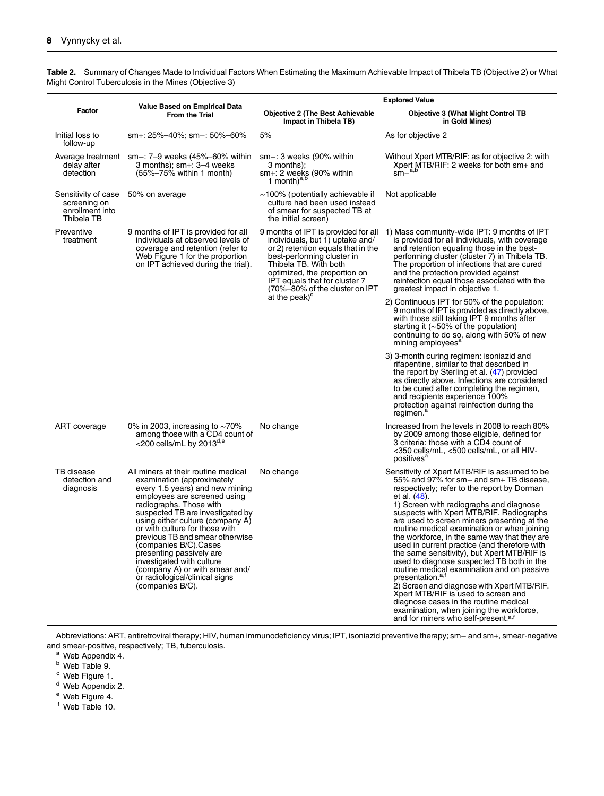j.

 $\overline{a}$ 

|                                                                      |                                                                                                                                                                                                                                                                                                                                                                                                                                                                                        | <b>Explored Value</b>                                                                                                                                                                                                                                                                                |                                                                                                                                                                                                                                                                                                                                                                                                                                                                                                                                                                                                                                                                                                                                                                                                                                       |  |  |
|----------------------------------------------------------------------|----------------------------------------------------------------------------------------------------------------------------------------------------------------------------------------------------------------------------------------------------------------------------------------------------------------------------------------------------------------------------------------------------------------------------------------------------------------------------------------|------------------------------------------------------------------------------------------------------------------------------------------------------------------------------------------------------------------------------------------------------------------------------------------------------|---------------------------------------------------------------------------------------------------------------------------------------------------------------------------------------------------------------------------------------------------------------------------------------------------------------------------------------------------------------------------------------------------------------------------------------------------------------------------------------------------------------------------------------------------------------------------------------------------------------------------------------------------------------------------------------------------------------------------------------------------------------------------------------------------------------------------------------|--|--|
| Factor                                                               | <b>Value Based on Empirical Data</b><br><b>From the Trial</b>                                                                                                                                                                                                                                                                                                                                                                                                                          | <b>Objective 2 (The Best Achievable</b><br>Impact in Thibela TB)                                                                                                                                                                                                                                     | <b>Objective 3 (What Might Control TB</b><br>in Gold Mines)                                                                                                                                                                                                                                                                                                                                                                                                                                                                                                                                                                                                                                                                                                                                                                           |  |  |
| Initial loss to<br>follow-up                                         | sm+: 25%-40%; sm-: 50%-60%                                                                                                                                                                                                                                                                                                                                                                                                                                                             | 5%                                                                                                                                                                                                                                                                                                   | As for objective 2                                                                                                                                                                                                                                                                                                                                                                                                                                                                                                                                                                                                                                                                                                                                                                                                                    |  |  |
| delay after<br>detection                                             | Average treatment sm-: 7-9 weeks (45%-60% within<br>3 months); sm+: 3-4 weeks<br>$(55\% - 75\%$ within 1 month)                                                                                                                                                                                                                                                                                                                                                                        | $sm -: 3$ weeks (90% within<br>3 months);<br>sm+: 2 weeks (90% within<br>1 month) $^{a,b}$                                                                                                                                                                                                           | Without Xpert MTB/RIF: as for objective 2; with<br>Xpert MTB/RIF: 2 weeks for both sm+ and<br>$\sin^{-a,b}$                                                                                                                                                                                                                                                                                                                                                                                                                                                                                                                                                                                                                                                                                                                           |  |  |
| Sensitivity of case<br>screening on<br>enrollment into<br>Thibela TB | 50% on average                                                                                                                                                                                                                                                                                                                                                                                                                                                                         | $\sim$ 100% (potentially achievable if<br>culture had been used instead<br>of smear for suspected TB at<br>the initial screen)                                                                                                                                                                       | Not applicable                                                                                                                                                                                                                                                                                                                                                                                                                                                                                                                                                                                                                                                                                                                                                                                                                        |  |  |
| Preventive<br>treatment                                              | 9 months of IPT is provided for all<br>individuals at observed levels of<br>coverage and retention (refer to<br>Web Figure 1 for the proportion<br>on IPT achieved during the trial).                                                                                                                                                                                                                                                                                                  | 9 months of IPT is provided for all<br>individuals, but 1) uptake and/<br>or 2) retention equals that in the<br>best-performing cluster in<br>Thibela TB. With both<br>optimized, the proportion on<br>IPT equals that for cluster 7<br>(70%-80% of the cluster on IPT)<br>at the peak) <sup>c</sup> | 1) Mass community-wide IPT: 9 months of IPT<br>is provided for all individuals, with coverage<br>and retention equaling those in the best-<br>performing cluster (cluster 7) in Thibela TB.<br>The proportion of infections that are cured<br>and the protection provided against<br>reinfection equal those associated with the<br>greatest impact in objective 1.                                                                                                                                                                                                                                                                                                                                                                                                                                                                   |  |  |
|                                                                      |                                                                                                                                                                                                                                                                                                                                                                                                                                                                                        |                                                                                                                                                                                                                                                                                                      | 2) Continuous IPT for 50% of the population:<br>9 months of IPT is provided as directly above,<br>with those still taking IPT 9 months after<br>starting it ( $\sim$ 50% of the population)<br>continuing to do so, along with 50% of new<br>mining employees <sup>8</sup>                                                                                                                                                                                                                                                                                                                                                                                                                                                                                                                                                            |  |  |
|                                                                      |                                                                                                                                                                                                                                                                                                                                                                                                                                                                                        |                                                                                                                                                                                                                                                                                                      | 3) 3-month curing regimen: isoniazid and<br>rifapentine, similar to that described in<br>the report by Sterling et al. $(47)$ provided<br>as directly above. Infections are considered<br>to be cured after completing the regimen,<br>and recipients experience 100%<br>protection against reinfection during the<br>regimen. <sup>a</sup>                                                                                                                                                                                                                                                                                                                                                                                                                                                                                           |  |  |
| ART coverage                                                         | 0% in 2003, increasing to $\sim$ 70%<br>among those with a CD4 count of<br><200 cells/mL by $2013^{\text{d,e}}$                                                                                                                                                                                                                                                                                                                                                                        | No change                                                                                                                                                                                                                                                                                            | Increased from the levels in 2008 to reach 80%<br>by 2009 among those eligible, defined for<br>3 criteria: those with a CD4 count of<br><350 cells/mL, <500 cells/mL, or all HIV-<br>positives <sup>a</sup>                                                                                                                                                                                                                                                                                                                                                                                                                                                                                                                                                                                                                           |  |  |
| TB disease<br>detection and<br>diagnosis                             | All miners at their routine medical<br>examination (approximately<br>every 1.5 years) and new mining<br>employees are screened using<br>radiographs. Those with<br>suspected TB are investigated by<br>using either culture (company A)<br>or with culture for those with<br>previous TB and smear otherwise<br>(companies B/C).Cases<br>presenting passively are<br>investigated with culture<br>(company A) or with smear and/<br>or radiological/clinical signs<br>(companies B/C). | No change                                                                                                                                                                                                                                                                                            | Sensitivity of Xpert MTB/RIF is assumed to be<br>55% and 97% for sm- and sm+ TB disease.<br>respectively; refer to the report by Dorman<br>et al. (48).<br>1) Screen with radiographs and diagnose<br>suspects with Xpert MTB/RIF. Radiographs<br>are used to screen miners presenting at the<br>routine medical examination or when joining<br>the workforce, in the same way that they are<br>used in current practice (and therefore with<br>the same sensitivity), but Xpert MTB/RIF is<br>used to diagnose suspected TB both in the<br>routine medical examination and on passive<br>presentation. <sup>a</sup><br>2) Screen and diagnose with Xpert MTB/RIF.<br>Xpert MTB/RIF is used to screen and<br>diagnose cases in the routine medical<br>examination, when joining the workforce,<br>and for miners who self-present.a,f |  |  |

<span id="page-7-0"></span>Table 2. Summary of Changes Made to Individual Factors When Estimating the Maximum Achievable Impact of Thibela TB (Objective 2) or What Might Control Tuberculosis in the Mines (Objective 3)

Abbreviations: ART, antiretroviral therapy; HIV, human immunodeficiency virus; IPT, isoniazid preventive therapy; sm− and sm+, smear-negative and smear-positive, respectively; TB, tuberculosis. <sup>a</sup> [Web Appendix 4](http://aje.oxfordjournals.org/lookup/suppl/doi:10.1093/aje/kwu320/-/DC1).

b [Web Table 9.](http://aje.oxfordjournals.org/lookup/suppl/doi:10.1093/aje/kwu320/-/DC1)<br>
c Web Figure 1.

 $d$  [Web Appendix 2](http://aje.oxfordjournals.org/lookup/suppl/doi:10.1093/aje/kwu320/-/DC1).

<sup>e</sup> [Web Figure 4](http://aje.oxfordjournals.org/lookup/suppl/doi:10.1093/aje/kwu320/-/DC1).

<sup>f</sup> [Web Table 10.](http://aje.oxfordjournals.org/lookup/suppl/doi:10.1093/aje/kwu320/-/DC1)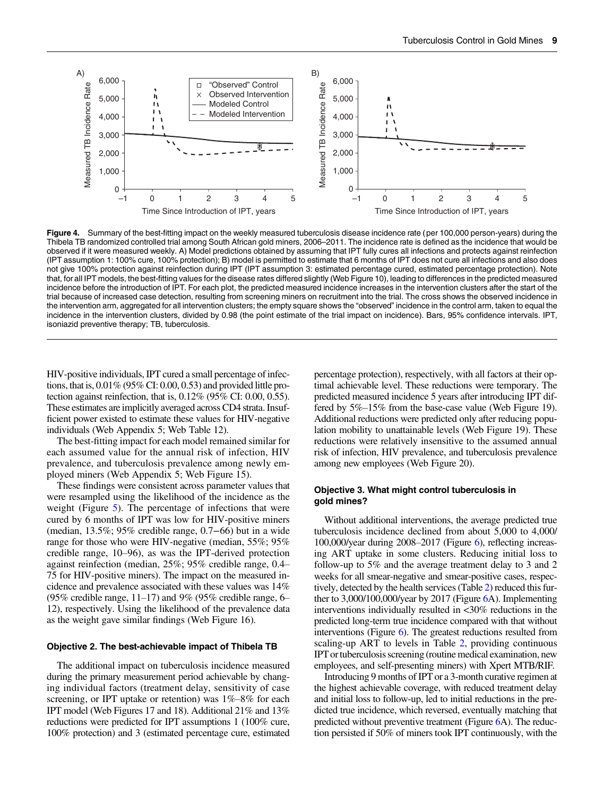<span id="page-8-0"></span>

Figure 4. Summary of the best-fitting impact on the weekly measured tuberculosis disease incidence rate (per 100,000 person-years) during the Thibela TB randomized controlled trial among South African gold miners, 2006–2011. The incidence rate is defined as the incidence that would be observed if it were measured weekly. A) Model predictions obtained by assuming that IPT fully cures all infections and protects against reinfection (IPT assumption 1: 100% cure, 100% protection); B) model is permitted to estimate that 6 months of IPT does not cure all infections and also does not give 100% protection against reinfection during IPT (IPT assumption 3: estimated percentage cured, estimated percentage protection). Note that, for all IPT models, the best-fitting values for the disease rates differed slightly [\(Web Figure 10](http://aje.oxfordjournals.org/lookup/suppl/doi:10.1093/aje/kwu320/-/DC1)), leading to differences in the predicted measured incidence before the introduction of IPT. For each plot, the predicted measured incidence increases in the intervention clusters after the start of the trial because of increased case detection, resulting from screening miners on recruitment into the trial. The cross shows the observed incidence in the intervention arm, aggregated for all intervention clusters; the empty square shows the "observed" incidence in the control arm, taken to equal the incidence in the intervention clusters, divided by 0.98 (the point estimate of the trial impact on incidence). Bars, 95% confidence intervals. IPT, isoniazid preventive therapy; TB, tuberculosis.

HIV-positive individuals, IPT cured a small percentage of infections, that is, 0.01% (95% CI: 0.00, 0.53) and provided little protection against reinfection, that is, 0.12% (95% CI: 0.00, 0.55). These estimates are implicitly averaged across CD4 strata. Insufficient power existed to estimate these values for HIV-negative individuals ([Web Appendix 5; Web Table 12\)](http://aje.oxfordjournals.org/lookup/suppl/doi:10.1093/aje/kwu320/-/DC1).

The best-fitting impact for each model remained similar for each assumed value for the annual risk of infection, HIV prevalence, and tuberculosis prevalence among newly employed miners ([Web Appendix 5; Web Figure 15](http://aje.oxfordjournals.org/lookup/suppl/doi:10.1093/aje/kwu320/-/DC1)).

These findings were consistent across parameter values that were resampled using the likelihood of the incidence as the weight (Figure [5\)](#page-9-0). The percentage of infections that were cured by 6 months of IPT was low for HIV-positive miners (median, 13.5%; 95% credible range, 0.7−66) but in a wide range for those who were HIV-negative (median, 55%; 95% credible range, 10–96), as was the IPT-derived protection against reinfection (median, 25%; 95% credible range, 0.4– 75 for HIV-positive miners). The impact on the measured incidence and prevalence associated with these values was 14% (95% credible range,  $11-17$ ) and 9% (95% credible range, 6– 12), respectively. Using the likelihood of the prevalence data as the weight gave similar findings ([Web Figure 16](http://aje.oxfordjournals.org/lookup/suppl/doi:10.1093/aje/kwu320/-/DC1)).

#### Objective 2. The best-achievable impact of Thibela TB

The additional impact on tuberculosis incidence measured during the primary measurement period achievable by changing individual factors (treatment delay, sensitivity of case screening, or IPT uptake or retention) was  $1\% - 8\%$  for each IPT model ([Web Figures 17 and 18](http://aje.oxfordjournals.org/lookup/suppl/doi:10.1093/aje/kwu320/-/DC1)). Additional 21% and 13% reductions were predicted for IPT assumptions 1 (100% cure, 100% protection) and 3 (estimated percentage cure, estimated percentage protection), respectively, with all factors at their optimal achievable level. These reductions were temporary. The predicted measured incidence 5 years after introducing IPT differed by 5%–15% from the base-case value [\(Web Figure 19](http://aje.oxfordjournals.org/lookup/suppl/doi:10.1093/aje/kwu320/-/DC1)). Additional reductions were predicted only after reducing population mobility to unattainable levels ([Web Figure 19](http://aje.oxfordjournals.org/lookup/suppl/doi:10.1093/aje/kwu320/-/DC1)). These reductions were relatively insensitive to the assumed annual risk of infection, HIV prevalence, and tuberculosis prevalence among new employees [\(Web Figure 20](http://aje.oxfordjournals.org/lookup/suppl/doi:10.1093/aje/kwu320/-/DC1)).

## Objective 3. What might control tuberculosis in gold mines?

Without additional interventions, the average predicted true tuberculosis incidence declined from about 5,000 to 4,000/ 100,000/year during 2008–2017 (Figure [6](#page-10-0)), reflecting increasing ART uptake in some clusters. Reducing initial loss to follow-up to 5% and the average treatment delay to 3 and 2 weeks for all smear-negative and smear-positive cases, respectively, detected by the health services (Table [2](#page-7-0)) reduced this further to  $3,000/100,000$ /year by  $2017$  (Figure  $6A$ ). Implementing interventions individually resulted in <30% reductions in the predicted long-term true incidence compared with that without interventions (Figure [6\)](#page-10-0). The greatest reductions resulted from scaling-up ART to levels in Table [2,](#page-7-0) providing continuous IPT or tuberculosis screening (routine medical examination, new employees, and self-presenting miners) with Xpert MTB/RIF.

Introducing 9 months of IPT or a 3-month curative regimen at the highest achievable coverage, with reduced treatment delay and initial loss to follow-up, led to initial reductions in the predicted true incidence, which reversed, eventually matching that predicted without preventive treatment (Figure [6A](#page-10-0)). The reduction persisted if 50% of miners took IPT continuously, with the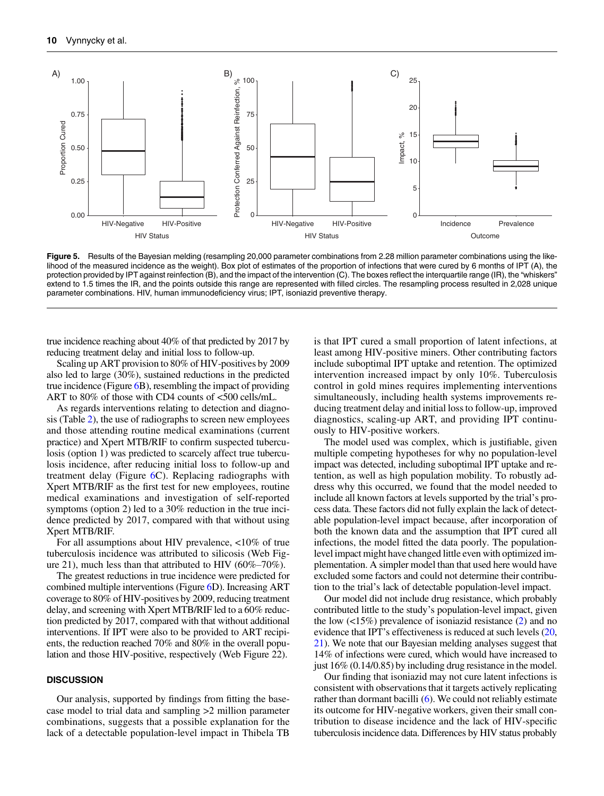<span id="page-9-0"></span>

Figure 5. Results of the Bayesian melding (resampling 20,000 parameter combinations from 2.28 million parameter combinations using the likelihood of the measured incidence as the weight). Box plot of estimates of the proportion of infections that were cured by 6 months of IPT (A), the protection provided by IPT against reinfection (B), and the impact of the intervention (C). The boxes reflect the interquartile range (IR), the "whiskers" extend to 1.5 times the IR, and the points outside this range are represented with filled circles. The resampling process resulted in 2,028 unique parameter combinations. HIV, human immunodeficiency virus; IPT, isoniazid preventive therapy.

true incidence reaching about 40% of that predicted by 2017 by reducing treatment delay and initial loss to follow-up.

Scaling up ART provision to 80% of HIV-positives by 2009 also led to large (30%), sustained reductions in the predicted true incidence (Figure [6B](#page-10-0)), resembling the impact of providing ART to 80% of those with CD4 counts of <500 cells/mL.

As regards interventions relating to detection and diagnosis (Table [2](#page-7-0)), the use of radiographs to screen new employees and those attending routine medical examinations (current practice) and Xpert MTB/RIF to confirm suspected tuberculosis (option 1) was predicted to scarcely affect true tuberculosis incidence, after reducing initial loss to follow-up and treatment delay (Figure [6C](#page-10-0)). Replacing radiographs with Xpert MTB/RIF as the first test for new employees, routine medical examinations and investigation of self-reported symptoms (option 2) led to a 30% reduction in the true incidence predicted by 2017, compared with that without using Xpert MTB/RIF.

For all assumptions about HIV prevalence, <10% of true tuberculosis incidence was attributed to silicosis ([Web Fig](http://aje.oxfordjournals.org/lookup/suppl/doi:10.1093/aje/kwu320/-/DC1)[ure 21](http://aje.oxfordjournals.org/lookup/suppl/doi:10.1093/aje/kwu320/-/DC1)), much less than that attributed to HIV (60%–70%).

The greatest reductions in true incidence were predicted for combined multiple interventions (Figure [6](#page-10-0)D). Increasing ART coverage to 80% of HIV-positives by 2009, reducing treatment delay, and screening with Xpert MTB/RIF led to a 60% reduction predicted by 2017, compared with that without additional interventions. If IPT were also to be provided to ART recipients, the reduction reached 70% and 80% in the overall population and those HIV-positive, respectively ([Web Figure 22](http://aje.oxfordjournals.org/lookup/suppl/doi:10.1093/aje/kwu320/-/DC1)).

## **DISCUSSION**

Our analysis, supported by findings from fitting the basecase model to trial data and sampling >2 million parameter combinations, suggests that a possible explanation for the lack of a detectable population-level impact in Thibela TB

is that IPT cured a small proportion of latent infections, at least among HIV-positive miners. Other contributing factors include suboptimal IPT uptake and retention. The optimized intervention increased impact by only 10%. Tuberculosis control in gold mines requires implementing interventions simultaneously, including health systems improvements reducing treatment delay and initial loss to follow-up, improved diagnostics, scaling-up ART, and providing IPT continuously to HIV-positive workers.

The model used was complex, which is justifiable, given multiple competing hypotheses for why no population-level impact was detected, including suboptimal IPT uptake and retention, as well as high population mobility. To robustly address why this occurred, we found that the model needed to include all known factors at levels supported by the trial's process data. These factors did not fully explain the lack of detectable population-level impact because, after incorporation of both the known data and the assumption that IPT cured all infections, the model fitted the data poorly. The populationlevel impact might have changed little even with optimized implementation. A simpler model than that used here would have excluded some factors and could not determine their contribution to the trial's lack of detectable population-level impact.

Our model did not include drug resistance, which probably contributed little to the study's population-level impact, given the low (<15%) prevalence of isoniazid resistance [\(2](#page-11-0)) and no evidence that IPT's effectiveness is reduced at such levels ([20](#page-12-0), [21\)](#page-12-0). We note that our Bayesian melding analyses suggest that 14% of infections were cured, which would have increased to just 16% (0.14/0.85) by including drug resistance in the model.

Our finding that isoniazid may not cure latent infections is consistent with observations that it targets actively replicating rather than dormant bacilli  $(6)$  $(6)$ . We could not reliably estimate its outcome for HIV-negative workers, given their small contribution to disease incidence and the lack of HIV-specific tuberculosis incidence data. Differences by HIV status probably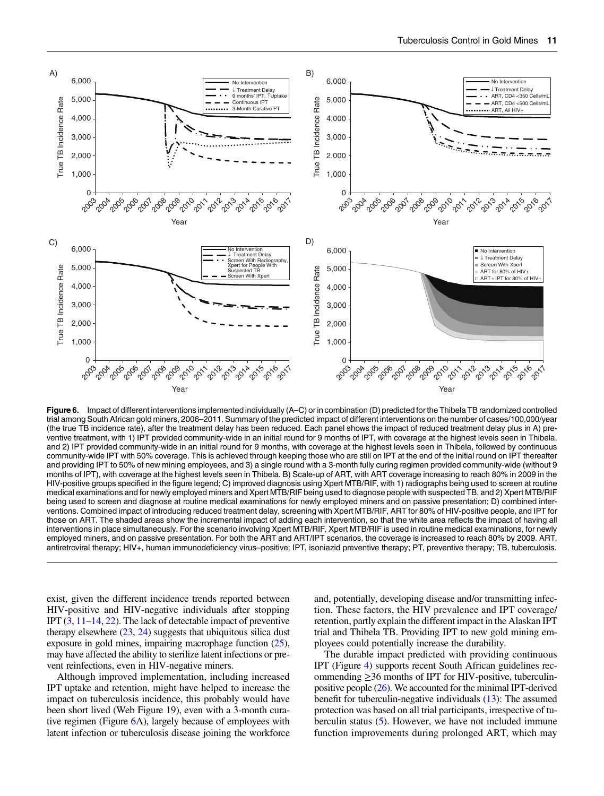<span id="page-10-0"></span>

Figure 6. Impact of different interventions implemented individually (A–C) or in combination (D) predicted for the Thibela TB randomized controlled trial among South African gold miners, 2006–2011. Summary of the predicted impact of different interventions on the number of cases/100,000/year (the true TB incidence rate), after the treatment delay has been reduced. Each panel shows the impact of reduced treatment delay plus in A) preventive treatment, with 1) IPT provided community-wide in an initial round for 9 months of IPT, with coverage at the highest levels seen in Thibela, and 2) IPT provided community-wide in an initial round for 9 months, with coverage at the highest levels seen in Thibela, followed by continuous community-wide IPT with 50% coverage. This is achieved through keeping those who are still on IPT at the end of the initial round on IPT thereafter and providing IPT to 50% of new mining employees, and 3) a single round with a 3-month fully curing regimen provided community-wide (without 9 months of IPT), with coverage at the highest levels seen in Thibela. B) Scale-up of ART, with ART coverage increasing to reach 80% in 2009 in the HIV-positive groups specified in the figure legend; C) improved diagnosis using Xpert MTB/RIF, with 1) radiographs being used to screen at routine medical examinations and for newly employed miners and Xpert MTB/RIF being used to diagnose people with suspected TB, and 2) Xpert MTB/RIF being used to screen and diagnose at routine medical examinations for newly employed miners and on passive presentation; D) combined interventions. Combined impact of introducing reduced treatment delay, screening with Xpert MTB/RIF, ART for 80% of HIV-positive people, and IPT for those on ART. The shaded areas show the incremental impact of adding each intervention, so that the white area reflects the impact of having all interventions in place simultaneously. For the scenario involving Xpert MTB/RIF, Xpert MTB/RIF is used in routine medical examinations, for newly employed miners, and on passive presentation. For both the ART and ART/IPT scenarios, the coverage is increased to reach 80% by 2009. ART, antiretroviral therapy; HIV+, human immunodeficiency virus–positive; IPT, isoniazid preventive therapy; PT, preventive therapy; TB, tuberculosis.

exist, given the different incidence trends reported between HIV-positive and HIV-negative individuals after stopping IPT  $(3, 11-14, 22)$  $(3, 11-14, 22)$  $(3, 11-14, 22)$  $(3, 11-14, 22)$  $(3, 11-14, 22)$  $(3, 11-14, 22)$  $(3, 11-14, 22)$  $(3, 11-14, 22)$ . The lack of detectable impact of preventive therapy elsewhere  $(23, 24)$  $(23, 24)$  $(23, 24)$  $(23, 24)$  $(23, 24)$  suggests that ubiquitous silica dust exposure in gold mines, impairing macrophage function  $(25)$  $(25)$  $(25)$ , may have affected the ability to sterilize latent infections or prevent reinfections, even in HIV-negative miners.

Although improved implementation, including increased IPT uptake and retention, might have helped to increase the impact on tuberculosis incidence, this probably would have been short lived [\(Web Figure 19](http://aje.oxfordjournals.org/lookup/suppl/doi:10.1093/aje/kwu320/-/DC1)), even with a 3-month curative regimen (Figure 6A), largely because of employees with latent infection or tuberculosis disease joining the workforce and, potentially, developing disease and/or transmitting infection. These factors, the HIV prevalence and IPT coverage/ retention, partly explain the different impact in the Alaskan IPT trial and Thibela TB. Providing IPT to new gold mining employees could potentially increase the durability.

The durable impact predicted with providing continuous IPT (Figure [4\)](#page-8-0) supports recent South African guidelines recommending  $\geq$ 36 months of IPT for HIV-positive, tuberculinpositive people ([26](#page-12-0)). We accounted for the minimal IPT-derived benefit for tuberculin-negative individuals [\(13](#page-12-0)): The assumed protection was based on all trial participants, irrespective of tuberculin status [\(5](#page-11-0)). However, we have not included immune function improvements during prolonged ART, which may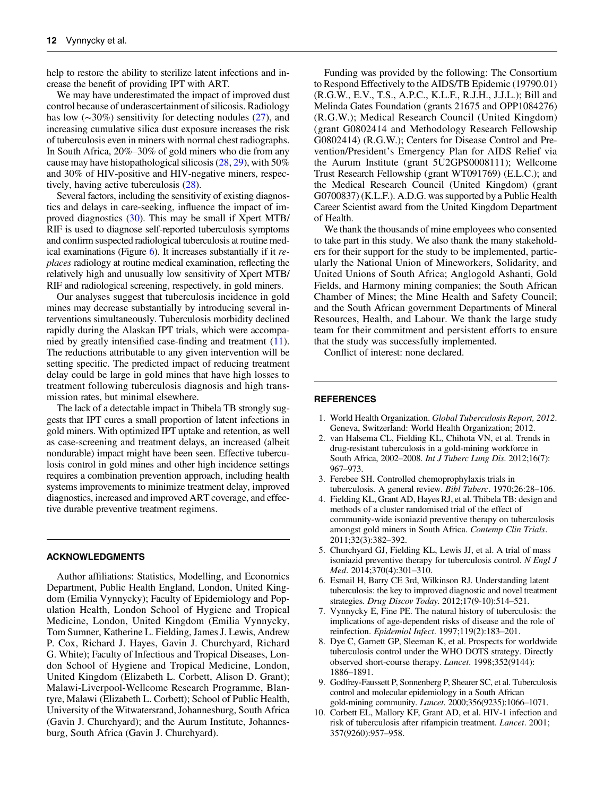<span id="page-11-0"></span>help to restore the ability to sterilize latent infections and increase the benefit of providing IPT with ART.

We may have underestimated the impact of improved dust control because of underascertainment of silicosis. Radiology has low (∼30%) sensitivity for detecting nodules [\(27](#page-12-0)), and increasing cumulative silica dust exposure increases the risk of tuberculosis even in miners with normal chest radiographs. In South Africa, 20%–30% of gold miners who die from any cause may have histopathological silicosis [\(28](#page-12-0), [29\)](#page-12-0), with 50% and 30% of HIV-positive and HIV-negative miners, respectively, having active tuberculosis ([28\)](#page-12-0).

Several factors, including the sensitivity of existing diagnostics and delays in care-seeking, influence the impact of improved diagnostics [\(30](#page-12-0)). This may be small if Xpert MTB/ RIF is used to diagnose self-reported tuberculosis symptoms and confirm suspected radiological tuberculosis at routine medical examinations (Figure  $6$ ). It increases substantially if it *re*places radiology at routine medical examination, reflecting the relatively high and unusually low sensitivity of Xpert MTB/ RIF and radiological screening, respectively, in gold miners.

Our analyses suggest that tuberculosis incidence in gold mines may decrease substantially by introducing several interventions simultaneously. Tuberculosis morbidity declined rapidly during the Alaskan IPT trials, which were accompanied by greatly intensified case-finding and treatment ([11](#page-12-0)). The reductions attributable to any given intervention will be setting specific. The predicted impact of reducing treatment delay could be large in gold mines that have high losses to treatment following tuberculosis diagnosis and high transmission rates, but minimal elsewhere.

The lack of a detectable impact in Thibela TB strongly suggests that IPT cures a small proportion of latent infections in gold miners. With optimized IPT uptake and retention, as well as case-screening and treatment delays, an increased (albeit nondurable) impact might have been seen. Effective tuberculosis control in gold mines and other high incidence settings requires a combination prevention approach, including health systems improvements to minimize treatment delay, improved diagnostics, increased and improved ART coverage, and effective durable preventive treatment regimens.

## ACKNOWLEDGMENTS

Author affiliations: Statistics, Modelling, and Economics Department, Public Health England, London, United Kingdom (Emilia Vynnycky); Faculty of Epidemiology and Population Health, London School of Hygiene and Tropical Medicine, London, United Kingdom (Emilia Vynnycky, Tom Sumner, Katherine L. Fielding, James J. Lewis, Andrew P. Cox, Richard J. Hayes, Gavin J. Churchyard, Richard G. White); Faculty of Infectious and Tropical Diseases, London School of Hygiene and Tropical Medicine, London, United Kingdom (Elizabeth L. Corbett, Alison D. Grant); Malawi-Liverpool-Wellcome Research Programme, Blantyre, Malawi (Elizabeth L. Corbett); School of Public Health, University of the Witwatersrand, Johannesburg, South Africa (Gavin J. Churchyard); and the Aurum Institute, Johannesburg, South Africa (Gavin J. Churchyard).

Funding was provided by the following: The Consortium to Respond Effectively to the AIDS/TB Epidemic (19790.01) (R.G.W., E.V., T.S., A.P.C., K.L.F., R.J.H., J.J.L.); Bill and Melinda Gates Foundation (grants 21675 and OPP1084276) (R.G.W.); Medical Research Council (United Kingdom) (grant G0802414 and Methodology Research Fellowship G0802414) (R.G.W.); Centers for Disease Control and Prevention/President's Emergency Plan for AIDS Relief via the Aurum Institute (grant 5U2GPS0008111); Wellcome Trust Research Fellowship (grant WT091769) (E.L.C.); and the Medical Research Council (United Kingdom) (grant G0700837) (K.L.F.). A.D.G. was supported by a Public Health Career Scientist award from the United Kingdom Department of Health.

We thank the thousands of mine employees who consented to take part in this study. We also thank the many stakeholders for their support for the study to be implemented, particularly the National Union of Mineworkers, Solidarity, and United Unions of South Africa; Anglogold Ashanti, Gold Fields, and Harmony mining companies; the South African Chamber of Mines; the Mine Health and Safety Council; and the South African government Departments of Mineral Resources, Health, and Labour. We thank the large study team for their commitment and persistent efforts to ensure that the study was successfully implemented.

Conflict of interest: none declared.

#### **REFERENCES**

- 1. World Health Organization. Global Tuberculosis Report, 2012. Geneva, Switzerland: World Health Organization; 2012.
- 2. van Halsema CL, Fielding KL, Chihota VN, et al. Trends in drug-resistant tuberculosis in a gold-mining workforce in South Africa, 2002–2008. Int J Tuberc Lung Dis. 2012;16(7): 967–973.
- 3. Ferebee SH. Controlled chemoprophylaxis trials in tuberculosis. A general review. Bibl Tuberc. 1970;26:28–106.
- 4. Fielding KL, Grant AD, Hayes RJ, et al. Thibela TB: design and methods of a cluster randomised trial of the effect of community-wide isoniazid preventive therapy on tuberculosis amongst gold miners in South Africa. Contemp Clin Trials. 2011;32(3):382–392.
- 5. Churchyard GJ, Fielding KL, Lewis JJ, et al. A trial of mass isoniazid preventive therapy for tuberculosis control. N Engl J Med. 2014;370(4):301–310.
- 6. Esmail H, Barry CE 3rd, Wilkinson RJ. Understanding latent tuberculosis: the key to improved diagnostic and novel treatment strategies. Drug Discov Today. 2012;17(9-10):514–521.
- 7. Vynnycky E, Fine PE. The natural history of tuberculosis: the implications of age-dependent risks of disease and the role of reinfection. Epidemiol Infect. 1997;119(2):183–201.
- 8. Dye C, Garnett GP, Sleeman K, et al. Prospects for worldwide tuberculosis control under the WHO DOTS strategy. Directly observed short-course therapy. Lancet. 1998;352(9144): 1886–1891.
- 9. Godfrey-Faussett P, Sonnenberg P, Shearer SC, et al. Tuberculosis control and molecular epidemiology in a South African gold-mining community. Lancet. 2000;356(9235):1066–1071.
- 10. Corbett EL, Mallory KF, Grant AD, et al. HIV-1 infection and risk of tuberculosis after rifampicin treatment. Lancet. 2001; 357(9260):957–958.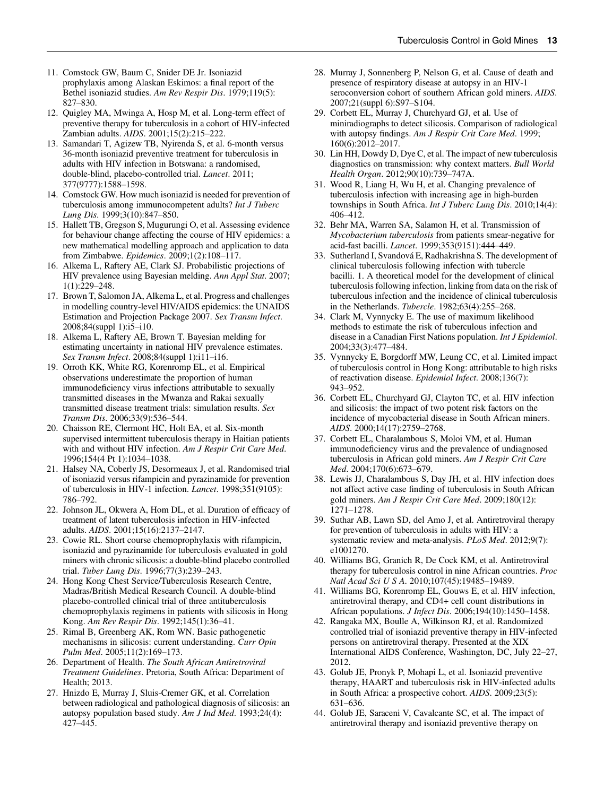- <span id="page-12-0"></span>11. Comstock GW, Baum C, Snider DE Jr. Isoniazid prophylaxis among Alaskan Eskimos: a final report of the Bethel isoniazid studies. Am Rev Respir Dis. 1979;119(5): 827–830.
- 12. Quigley MA, Mwinga A, Hosp M, et al. Long-term effect of preventive therapy for tuberculosis in a cohort of HIV-infected Zambian adults. AIDS. 2001;15(2):215–222.
- 13. Samandari T, Agizew TB, Nyirenda S, et al. 6-month versus 36-month isoniazid preventive treatment for tuberculosis in adults with HIV infection in Botswana: a randomised, double-blind, placebo-controlled trial. Lancet. 2011; 377(9777):1588–1598.
- 14. Comstock GW. How much isoniazid is needed for prevention of tuberculosis among immunocompetent adults? Int J Tuberc Lung Dis. 1999;3(10):847–850.
- 15. Hallett TB, Gregson S, Mugurungi O, et al. Assessing evidence for behaviour change affecting the course of HIV epidemics: a new mathematical modelling approach and application to data from Zimbabwe. Epidemics. 2009;1(2):108–117.
- 16. Alkema L, Raftery AE, Clark SJ. Probabilistic projections of HIV prevalence using Bayesian melding. Ann Appl Stat. 2007; 1(1):229–248.
- 17. Brown T, Salomon JA, Alkema L, et al. Progress and challenges in modelling country-level HIV/AIDS epidemics: the UNAIDS Estimation and Projection Package 2007. Sex Transm Infect. 2008;84(suppl 1):i5–i10.
- 18. Alkema L, Raftery AE, Brown T. Bayesian melding for estimating uncertainty in national HIV prevalence estimates. Sex Transm Infect. 2008;84(suppl 1):i11–i16.
- 19. Orroth KK, White RG, Korenromp EL, et al. Empirical observations underestimate the proportion of human immunodeficiency virus infections attributable to sexually transmitted diseases in the Mwanza and Rakai sexually transmitted disease treatment trials: simulation results. Sex Transm Dis. 2006;33(9):536–544.
- 20. Chaisson RE, Clermont HC, Holt EA, et al. Six-month supervised intermittent tuberculosis therapy in Haitian patients with and without HIV infection. Am J Respir Crit Care Med. 1996;154(4 Pt 1):1034–1038.
- 21. Halsey NA, Coberly JS, Desormeaux J, et al. Randomised trial of isoniazid versus rifampicin and pyrazinamide for prevention of tuberculosis in HIV-1 infection. Lancet. 1998;351(9105): 786–792.
- 22. Johnson JL, Okwera A, Hom DL, et al. Duration of efficacy of treatment of latent tuberculosis infection in HIV-infected adults. AIDS. 2001;15(16):2137–2147.
- 23. Cowie RL. Short course chemoprophylaxis with rifampicin, isoniazid and pyrazinamide for tuberculosis evaluated in gold miners with chronic silicosis: a double-blind placebo controlled trial. Tuber Lung Dis. 1996;77(3):239–243.
- 24. Hong Kong Chest Service/Tuberculosis Research Centre, Madras/British Medical Research Council. A double-blind placebo-controlled clinical trial of three antituberculosis chemoprophylaxis regimens in patients with silicosis in Hong Kong. Am Rev Respir Dis. 1992;145(1):36–41.
- 25. Rimal B, Greenberg AK, Rom WN. Basic pathogenetic mechanisms in silicosis: current understanding. Curr Opin Pulm Med. 2005;11(2):169–173.
- 26. Department of Health. The South African Antiretroviral Treatment Guidelines. Pretoria, South Africa: Department of Health; 2013.
- 27. Hnizdo E, Murray J, Sluis-Cremer GK, et al. Correlation between radiological and pathological diagnosis of silicosis: an autopsy population based study. Am J Ind Med. 1993;24(4): 427–445.
- 28. Murray J, Sonnenberg P, Nelson G, et al. Cause of death and presence of respiratory disease at autopsy in an HIV-1 seroconversion cohort of southern African gold miners. AIDS. 2007;21(suppl 6):S97–S104.
- 29. Corbett EL, Murray J, Churchyard GJ, et al. Use of miniradiographs to detect silicosis. Comparison of radiological with autopsy findings. Am J Respir Crit Care Med. 1999; 160(6):2012–2017.
- 30. Lin HH, Dowdy D, Dye C, et al. The impact of new tuberculosis diagnostics on transmission: why context matters. Bull World Health Organ. 2012;90(10):739–747A.
- 31. Wood R, Liang H, Wu H, et al. Changing prevalence of tuberculosis infection with increasing age in high-burden townships in South Africa. Int J Tuberc Lung Dis. 2010;14(4): 406–412.
- 32. Behr MA, Warren SA, Salamon H, et al. Transmission of Mycobacterium tuberculosis from patients smear-negative for acid-fast bacilli. Lancet. 1999;353(9151):444–449.
- 33. Sutherland I, Svandová E, Radhakrishna S. The development of clinical tuberculosis following infection with tubercle bacilli. 1. A theoretical model for the development of clinical tuberculosis following infection, linking from data on the risk of tuberculous infection and the incidence of clinical tuberculosis in the Netherlands. Tubercle. 1982;63(4):255–268.
- 34. Clark M, Vynnycky E. The use of maximum likelihood methods to estimate the risk of tuberculous infection and disease in a Canadian First Nations population. Int J Epidemiol. 2004;33(3):477–484.
- 35. Vynnycky E, Borgdorff MW, Leung CC, et al. Limited impact of tuberculosis control in Hong Kong: attributable to high risks of reactivation disease. Epidemiol Infect. 2008;136(7): 943–952.
- 36. Corbett EL, Churchyard GJ, Clayton TC, et al. HIV infection and silicosis: the impact of two potent risk factors on the incidence of mycobacterial disease in South African miners. AIDS. 2000;14(17):2759–2768.
- 37. Corbett EL, Charalambous S, Moloi VM, et al. Human immunodeficiency virus and the prevalence of undiagnosed tuberculosis in African gold miners. Am J Respir Crit Care Med. 2004;170(6):673–679.
- 38. Lewis JJ, Charalambous S, Day JH, et al. HIV infection does not affect active case finding of tuberculosis in South African gold miners. Am J Respir Crit Care Med. 2009;180(12): 1271–1278.
- 39. Suthar AB, Lawn SD, del Amo J, et al. Antiretroviral therapy for prevention of tuberculosis in adults with HIV: a systematic review and meta-analysis. PLoS Med. 2012;9(7): e1001270.
- 40. Williams BG, Granich R, De Cock KM, et al. Antiretroviral therapy for tuberculosis control in nine African countries. Proc Natl Acad Sci U S A. 2010;107(45):19485–19489.
- 41. Williams BG, Korenromp EL, Gouws E, et al. HIV infection, antiretroviral therapy, and CD4+ cell count distributions in African populations. J Infect Dis. 2006;194(10):1450–1458.
- 42. Rangaka MX, Boulle A, Wilkinson RJ, et al. Randomized controlled trial of isoniazid preventive therapy in HIV-infected persons on antiretroviral therapy. Presented at the XIX International AIDS Conference, Washington, DC, July 22–27, 2012.
- 43. Golub JE, Pronyk P, Mohapi L, et al. Isoniazid preventive therapy, HAART and tuberculosis risk in HIV-infected adults in South Africa: a prospective cohort. AIDS. 2009;23(5): 631–636.
- 44. Golub JE, Saraceni V, Cavalcante SC, et al. The impact of antiretroviral therapy and isoniazid preventive therapy on